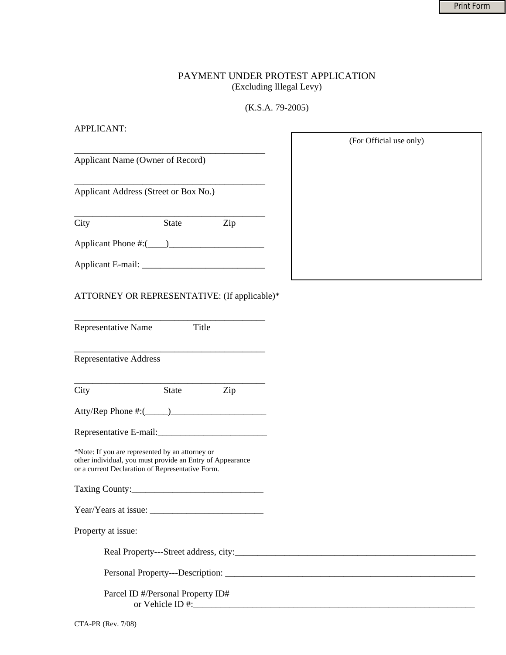## PAYMENT UNDER PROTEST APPLICATION (Excluding Illegal Levy)

## (K.S.A. 79-2005)

| <b>APPLICANT:</b>                                                                                                                                                |                                   |     |                         |
|------------------------------------------------------------------------------------------------------------------------------------------------------------------|-----------------------------------|-----|-------------------------|
|                                                                                                                                                                  |                                   |     | (For Official use only) |
| Applicant Name (Owner of Record)                                                                                                                                 |                                   |     |                         |
| Applicant Address (Street or Box No.)                                                                                                                            |                                   |     |                         |
| City                                                                                                                                                             | State Zip                         |     |                         |
|                                                                                                                                                                  |                                   |     |                         |
|                                                                                                                                                                  |                                   |     |                         |
| ATTORNEY OR REPRESENTATIVE: (If applicable)*                                                                                                                     |                                   |     |                         |
| Representative Name                                                                                                                                              | Title                             |     |                         |
| <b>Representative Address</b>                                                                                                                                    |                                   |     |                         |
| City                                                                                                                                                             | State                             | Zip |                         |
|                                                                                                                                                                  |                                   |     |                         |
|                                                                                                                                                                  |                                   |     |                         |
| *Note: If you are represented by an attorney or<br>other individual, you must provide an Entry of Appearance<br>or a current Declaration of Representative Form. |                                   |     |                         |
|                                                                                                                                                                  |                                   |     |                         |
|                                                                                                                                                                  |                                   |     |                         |
| Property at issue:                                                                                                                                               |                                   |     |                         |
|                                                                                                                                                                  |                                   |     |                         |
|                                                                                                                                                                  |                                   |     |                         |
|                                                                                                                                                                  | Parcel ID #/Personal Property ID# |     |                         |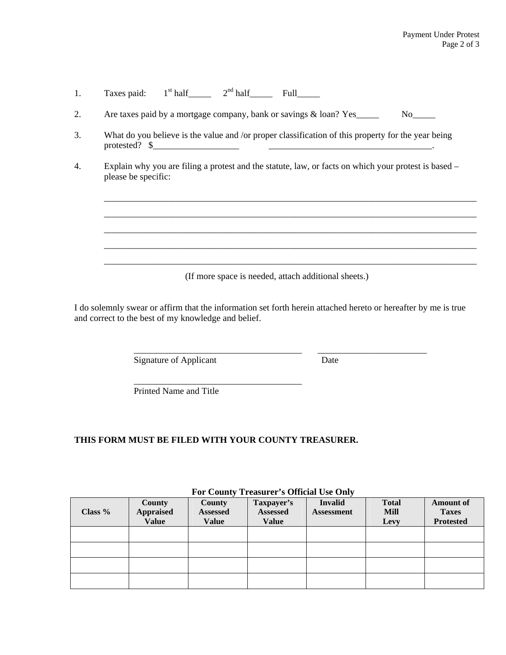| 1. | Taxes paid: $1st$ half $2nd$ half Full                                                                                         |  |  |  |  |  |  |
|----|--------------------------------------------------------------------------------------------------------------------------------|--|--|--|--|--|--|
| 2. | Are taxes paid by a mortgage company, bank or savings & loan? Yes                                                              |  |  |  |  |  |  |
| 3. | What do you believe is the value and /or proper classification of this property for the year being<br>protested? $\frac{1}{2}$ |  |  |  |  |  |  |
| 4. | Explain why you are filing a protest and the statute, law, or facts on which your protest is based –<br>please be specific:    |  |  |  |  |  |  |
|    | (If more space is needed, attach additional sheets.)                                                                           |  |  |  |  |  |  |

I do solemnly swear or affirm that the information set forth herein attached hereto or hereafter by me is true and correct to the best of my knowledge and belief.

\_\_\_\_\_\_\_\_\_\_\_\_\_\_\_\_\_\_\_\_\_\_\_\_\_\_\_\_\_\_\_\_\_\_\_\_\_ \_\_\_\_\_\_\_\_\_\_\_\_\_\_\_\_\_\_\_\_\_\_\_\_

Signature of Applicant Date

Printed Name and Title

 $\overline{\phantom{a}}$  ,  $\overline{\phantom{a}}$  ,  $\overline{\phantom{a}}$  ,  $\overline{\phantom{a}}$  ,  $\overline{\phantom{a}}$  ,  $\overline{\phantom{a}}$  ,  $\overline{\phantom{a}}$  ,  $\overline{\phantom{a}}$  ,  $\overline{\phantom{a}}$  ,  $\overline{\phantom{a}}$  ,  $\overline{\phantom{a}}$  ,  $\overline{\phantom{a}}$  ,  $\overline{\phantom{a}}$  ,  $\overline{\phantom{a}}$  ,  $\overline{\phantom{a}}$  ,  $\overline{\phantom{a}}$ 

## **THIS FORM MUST BE FILED WITH YOUR COUNTY TREASURER.**

| For County Treasurer's Official Use Only |  |  |  |  |
|------------------------------------------|--|--|--|--|
|------------------------------------------|--|--|--|--|

| Class % | County<br><b>Appraised</b><br><b>Value</b> | <b>County</b><br><b>Assessed</b><br><b>Value</b> | Taxpayer's<br>Assessed<br><b>Value</b> | <b>Invalid</b><br><b>Assessment</b> | <b>Total</b><br>Mill<br>Levy | <b>Amount of</b><br><b>Taxes</b><br><b>Protested</b> |
|---------|--------------------------------------------|--------------------------------------------------|----------------------------------------|-------------------------------------|------------------------------|------------------------------------------------------|
|         |                                            |                                                  |                                        |                                     |                              |                                                      |
|         |                                            |                                                  |                                        |                                     |                              |                                                      |
|         |                                            |                                                  |                                        |                                     |                              |                                                      |
|         |                                            |                                                  |                                        |                                     |                              |                                                      |